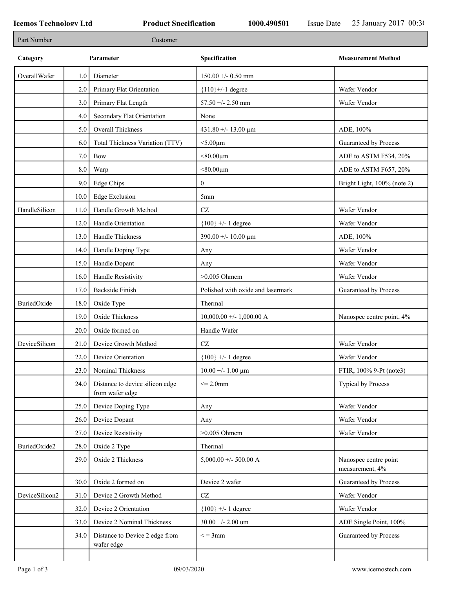| Part Number    |      | Customer                                           |                                   |                                          |
|----------------|------|----------------------------------------------------|-----------------------------------|------------------------------------------|
| Category       |      | Parameter                                          | Specification                     | <b>Measurement Method</b>                |
| OverallWafer   | 1.0  | Diameter                                           | $150.00 +/- 0.50$ mm              |                                          |
|                | 2.0  | Primary Flat Orientation                           | ${110}$ +/-1 degree               | Wafer Vendor                             |
|                | 3.0  | Primary Flat Length                                | 57.50 +/- 2.50 mm                 | Wafer Vendor                             |
|                | 4.0  | Secondary Flat Orientation                         | None                              |                                          |
|                | 5.0  | Overall Thickness                                  | 431.80 +/- 13.00 μm               | ADE, 100%                                |
|                | 6.0  | Total Thickness Variation (TTV)                    | $<$ 5.00 $\mu$ m                  | Guaranteed by Process                    |
|                | 7.0  | <b>Bow</b>                                         | $< 80.00 \mu m$                   | ADE to ASTM F534, 20%                    |
|                | 8.0  | Warp                                               | $< 80.00 \mu m$                   | ADE to ASTM F657, 20%                    |
|                | 9.0  | Edge Chips                                         | $\boldsymbol{0}$                  | Bright Light, 100% (note 2)              |
|                | 10.0 | <b>Edge Exclusion</b>                              | 5mm                               |                                          |
| HandleSilicon  | 11.0 | Handle Growth Method                               | $\operatorname{CZ}$               | Wafer Vendor                             |
|                | 12.0 | Handle Orientation                                 | ${100}$ +/- 1 degree              | Wafer Vendor                             |
|                | 13.0 | Handle Thickness                                   | 390.00 +/- 10.00 μm               | ADE, 100%                                |
|                | 14.0 | Handle Doping Type                                 | Any                               | Wafer Vendor                             |
|                | 15.0 | Handle Dopant                                      | Any                               | Wafer Vendor                             |
|                | 16.0 | Handle Resistivity                                 | $>0.005$ Ohmem                    | Wafer Vendor                             |
|                | 17.0 | <b>Backside Finish</b>                             | Polished with oxide and lasermark | Guaranteed by Process                    |
| BuriedOxide    | 18.0 | Oxide Type                                         | Thermal                           |                                          |
|                | 19.0 | Oxide Thickness                                    | $10,000.00 +/- 1,000.00 A$        | Nanospec centre point, 4%                |
|                | 20.0 | Oxide formed on                                    | Handle Wafer                      |                                          |
| DeviceSilicon  | 21.0 | Device Growth Method                               | CZ                                | Wafer Vendor                             |
|                | 22.0 | Device Orientation                                 | ${100}$ +/- 1 degree              | Wafer Vendor                             |
|                | 23.0 | Nominal Thickness                                  | $10.00 + - 1.00 \mu m$            | FTIR, 100% 9-Pt (note3)                  |
|                | 24.0 | Distance to device silicon edge<br>from wafer edge | $\leq$ 2.0mm                      | Typical by Process                       |
|                | 25.0 | Device Doping Type                                 | Any                               | Wafer Vendor                             |
|                | 26.0 | Device Dopant                                      | Any                               | Wafer Vendor                             |
|                | 27.0 | Device Resistivity                                 | $>0.005$ Ohmcm                    | Wafer Vendor                             |
| BuriedOxide2   | 28.0 | Oxide 2 Type                                       | Thermal                           |                                          |
|                | 29.0 | Oxide 2 Thickness                                  | 5,000.00 +/- 500.00 A             | Nanospec centre point<br>measurement, 4% |
|                | 30.0 | Oxide 2 formed on                                  | Device 2 wafer                    | Guaranteed by Process                    |
| DeviceSilicon2 | 31.0 | Device 2 Growth Method                             | $\operatorname{CZ}$               | Wafer Vendor                             |
|                | 32.0 | Device 2 Orientation                               | ${100}$ +/- 1 degree              | Wafer Vendor                             |
|                | 33.0 | Device 2 Nominal Thickness                         | 30.00 +/- 2.00 um                 | ADE Single Point, 100%                   |
|                | 34.0 | Distance to Device 2 edge from<br>wafer edge       | $\leq$ = 3mm                      | Guaranteed by Process                    |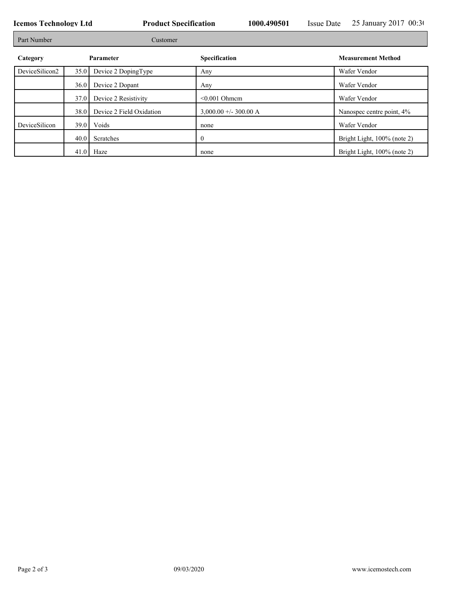┑

| Part Number    |           | Customer                 |                        |                             |
|----------------|-----------|--------------------------|------------------------|-----------------------------|
| Category       | Parameter |                          | Specification          | <b>Measurement Method</b>   |
| DeviceSilicon2 | 35.0      | Device 2 DopingType      | Any                    | Wafer Vendor                |
|                | 36.0      | Device 2 Dopant          | Any                    | Wafer Vendor                |
|                | 37.0      | Device 2 Resistivity     | $< 0.001$ Ohmem        | Wafer Vendor                |
|                | 38.0      | Device 2 Field Oxidation | $3,000.00 + -300.00$ A | Nanospec centre point, 4%   |
| DeviceSilicon  |           | $39.0$ Voids             | none                   | Wafer Vendor                |
|                |           | 40.0 Scratches           | $\theta$               | Bright Light, 100% (note 2) |
|                |           | $41.0$ Haze              | none                   | Bright Light, 100% (note 2) |